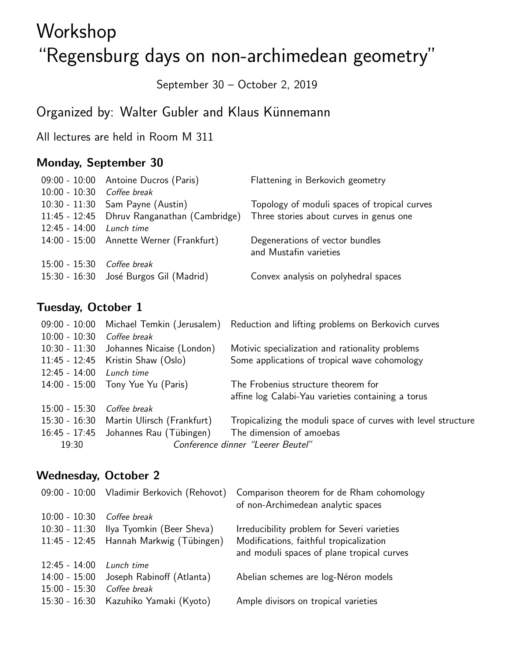# Workshop "Regensburg days on non-archimedean geometry"

September 30 – October 2, 2019

# Organized by: Walter Gubler and Klaus Künnemann

All lectures are held in Room M 311

# Monday, September 30

|                            | 09:00 - 10:00 Antoine Ducros (Paris)        | Flattening in Berkovich geometry                          |
|----------------------------|---------------------------------------------|-----------------------------------------------------------|
| 10:00 - 10:30 Coffee break |                                             |                                                           |
|                            | 10:30 - 11:30 Sam Payne (Austin)            | Topology of moduli spaces of tropical curves              |
|                            | 11:45 - 12:45 Dhruv Ranganathan (Cambridge) | Three stories about curves in genus one                   |
| $12:45 - 14:00$            | Lunch time                                  |                                                           |
|                            | 14:00 - 15:00 Annette Werner (Frankfurt)    | Degenerations of vector bundles<br>and Mustafin varieties |
| 15:00 - 15:30              | Coffee break                                |                                                           |
|                            | 15:30 - 16:30 José Burgos Gil (Madrid)      | Convex analysis on polyhedral spaces                      |

# Tuesday, October 1

|                 |                                          | 09:00 - 10:00 Michael Temkin (Jerusalem) Reduction and lifting problems on Berkovich curves |
|-----------------|------------------------------------------|---------------------------------------------------------------------------------------------|
| $10:00 - 10:30$ | Coffee break                             |                                                                                             |
| $10:30 - 11:30$ | Johannes Nicaise (London)                | Motivic specialization and rationality problems                                             |
|                 | 11:45 - 12:45 Kristin Shaw (Oslo)        | Some applications of tropical wave cohomology                                               |
| $12:45 - 14:00$ | Lunch time                               |                                                                                             |
|                 | 14:00 - 15:00 Tony Yue Yu (Paris)        | The Frobenius structure theorem for                                                         |
|                 |                                          | affine log Calabi-Yau varieties containing a torus                                          |
| $15:00 - 15:30$ | Coffee break                             |                                                                                             |
|                 | 15:30 - 16:30 Martin Ulirsch (Frankfurt) | Tropicalizing the moduli space of curves with level structure                               |
|                 | 16:45 - 17:45 Johannes Rau (Tübingen)    | The dimension of amoebas                                                                    |
| 19:30           | Conference dinner "Leerer Beutel"        |                                                                                             |
|                 |                                          |                                                                                             |

# Wednesday, October 2

| $09:00 - 10:00$ | Vladimir Berkovich (Rehovot)            | Comparison theorem for de Rham cohomology<br>of non-Archimedean analytic spaces       |
|-----------------|-----------------------------------------|---------------------------------------------------------------------------------------|
| $10:00 - 10:30$ | Coffee break                            |                                                                                       |
| $10:30 - 11:30$ | Ilya Tyomkin (Beer Sheva)               | Irreducibility problem for Severi varieties                                           |
|                 | 11:45 - 12:45 Hannah Markwig (Tübingen) | Modifications, faithful tropicalization<br>and moduli spaces of plane tropical curves |
| $12:45 - 14:00$ | Lunch time                              |                                                                                       |
| $14:00 - 15:00$ | Joseph Rabinoff (Atlanta)               | Abelian schemes are log-Néron models                                                  |
| $15:00 - 15:30$ | Coffee break                            |                                                                                       |
| $15:30 - 16:30$ | Kazuhiko Yamaki (Kyoto)                 | Ample divisors on tropical varieties                                                  |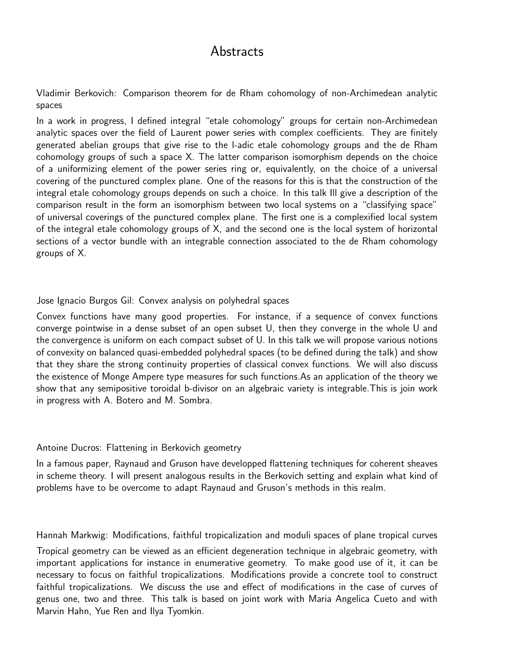# Abstracts

Vladimir Berkovich: Comparison theorem for de Rham cohomology of non-Archimedean analytic spaces

In a work in progress, I defined integral "etale cohomology" groups for certain non-Archimedean analytic spaces over the field of Laurent power series with complex coefficients. They are finitely generated abelian groups that give rise to the l-adic etale cohomology groups and the de Rham cohomology groups of such a space X. The latter comparison isomorphism depends on the choice of a uniformizing element of the power series ring or, equivalently, on the choice of a universal covering of the punctured complex plane. One of the reasons for this is that the construction of the integral etale cohomology groups depends on such a choice. In this talk Ill give a description of the comparison result in the form an isomorphism between two local systems on a "classifying space" of universal coverings of the punctured complex plane. The first one is a complexified local system of the integral etale cohomology groups of X, and the second one is the local system of horizontal sections of a vector bundle with an integrable connection associated to the de Rham cohomology groups of X.

#### Jose Ignacio Burgos Gil: Convex analysis on polyhedral spaces

Convex functions have many good properties. For instance, if a sequence of convex functions converge pointwise in a dense subset of an open subset U, then they converge in the whole U and the convergence is uniform on each compact subset of U. In this talk we will propose various notions of convexity on balanced quasi-embedded polyhedral spaces (to be defined during the talk) and show that they share the strong continuity properties of classical convex functions. We will also discuss the existence of Monge Ampere type measures for such functions.As an application of the theory we show that any semipositive toroidal b-divisor on an algebraic variety is integrable.This is join work in progress with A. Botero and M. Sombra.

#### Antoine Ducros: Flattening in Berkovich geometry

In a famous paper, Raynaud and Gruson have developped flattening techniques for coherent sheaves in scheme theory. I will present analogous results in the Berkovich setting and explain what kind of problems have to be overcome to adapt Raynaud and Gruson's methods in this realm.

Hannah Markwig: Modifications, faithful tropicalization and moduli spaces of plane tropical curves

Tropical geometry can be viewed as an efficient degeneration technique in algebraic geometry, with important applications for instance in enumerative geometry. To make good use of it, it can be necessary to focus on faithful tropicalizations. Modifications provide a concrete tool to construct faithful tropicalizations. We discuss the use and effect of modifications in the case of curves of genus one, two and three. This talk is based on joint work with Maria Angelica Cueto and with Marvin Hahn, Yue Ren and Ilya Tyomkin.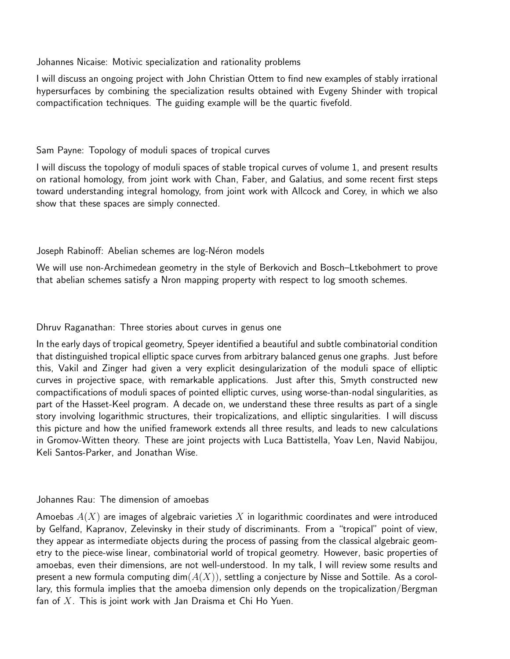Johannes Nicaise: Motivic specialization and rationality problems

I will discuss an ongoing project with John Christian Ottem to find new examples of stably irrational hypersurfaces by combining the specialization results obtained with Evgeny Shinder with tropical compactification techniques. The guiding example will be the quartic fivefold.

#### Sam Payne: Topology of moduli spaces of tropical curves

I will discuss the topology of moduli spaces of stable tropical curves of volume 1, and present results on rational homology, from joint work with Chan, Faber, and Galatius, and some recent first steps toward understanding integral homology, from joint work with Allcock and Corey, in which we also show that these spaces are simply connected.

#### Joseph Rabinoff: Abelian schemes are log-Néron models

We will use non-Archimedean geometry in the style of Berkovich and Bosch–Ltkebohmert to prove that abelian schemes satisfy a Nron mapping property with respect to log smooth schemes.

#### Dhruv Raganathan: Three stories about curves in genus one

In the early days of tropical geometry, Speyer identified a beautiful and subtle combinatorial condition that distinguished tropical elliptic space curves from arbitrary balanced genus one graphs. Just before this, Vakil and Zinger had given a very explicit desingularization of the moduli space of elliptic curves in projective space, with remarkable applications. Just after this, Smyth constructed new compactifications of moduli spaces of pointed elliptic curves, using worse-than-nodal singularities, as part of the Hasset-Keel program. A decade on, we understand these three results as part of a single story involving logarithmic structures, their tropicalizations, and elliptic singularities. I will discuss this picture and how the unified framework extends all three results, and leads to new calculations in Gromov-Witten theory. These are joint projects with Luca Battistella, Yoav Len, Navid Nabijou, Keli Santos-Parker, and Jonathan Wise.

#### Johannes Rau: The dimension of amoebas

Amoebas  $A(X)$  are images of algebraic varieties X in logarithmic coordinates and were introduced by Gelfand, Kapranov, Zelevinsky in their study of discriminants. From a "tropical" point of view, they appear as intermediate objects during the process of passing from the classical algebraic geometry to the piece-wise linear, combinatorial world of tropical geometry. However, basic properties of amoebas, even their dimensions, are not well-understood. In my talk, I will review some results and present a new formula computing  $dim(A(X))$ , settling a conjecture by Nisse and Sottile. As a corollary, this formula implies that the amoeba dimension only depends on the tropicalization/Bergman fan of  $X$ . This is joint work with Jan Draisma et Chi Ho Yuen.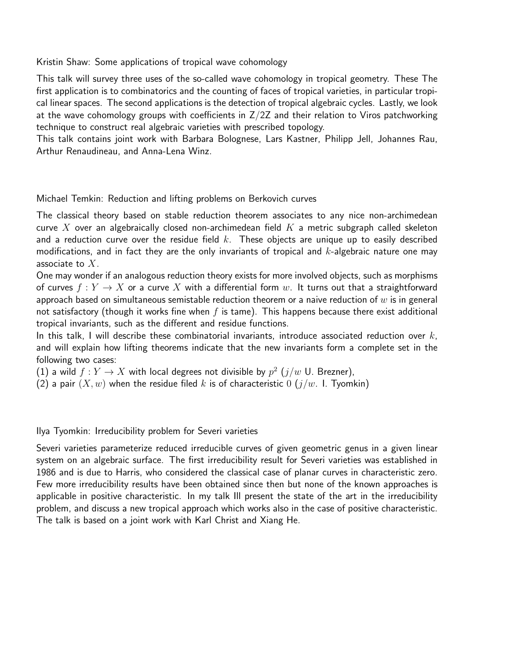Kristin Shaw: Some applications of tropical wave cohomology

This talk will survey three uses of the so-called wave cohomology in tropical geometry. These The first application is to combinatorics and the counting of faces of tropical varieties, in particular tropical linear spaces. The second applications is the detection of tropical algebraic cycles. Lastly, we look at the wave cohomology groups with coefficients in  $Z/2Z$  and their relation to Viros patchworking technique to construct real algebraic varieties with prescribed topology.

This talk contains joint work with Barbara Bolognese, Lars Kastner, Philipp Jell, Johannes Rau, Arthur Renaudineau, and Anna-Lena Winz.

Michael Temkin: Reduction and lifting problems on Berkovich curves

The classical theory based on stable reduction theorem associates to any nice non-archimedean curve X over an algebraically closed non-archimedean field  $K$  a metric subgraph called skeleton and a reduction curve over the residue field  $k$ . These objects are unique up to easily described modifications, and in fact they are the only invariants of tropical and  $k$ -algebraic nature one may associate to  $X$ .

One may wonder if an analogous reduction theory exists for more involved objects, such as morphisms of curves  $f: Y \to X$  or a curve X with a differential form w. It turns out that a straightforward approach based on simultaneous semistable reduction theorem or a naive reduction of  $w$  is in general not satisfactory (though it works fine when f is tame). This happens because there exist additional tropical invariants, such as the different and residue functions.

In this talk, I will describe these combinatorial invariants, introduce associated reduction over  $k$ , and will explain how lifting theorems indicate that the new invariants form a complete set in the following two cases:

(1) a wild  $f:Y\to X$  with local degrees not divisible by  $p^2$   $(j/w$  U. Brezner),

(2) a pair  $(X, w)$  when the residue filed k is of characteristic 0  $(j/w$ . I. Tyomkin)

Ilya Tyomkin: Irreducibility problem for Severi varieties

Severi varieties parameterize reduced irreducible curves of given geometric genus in a given linear system on an algebraic surface. The first irreducibility result for Severi varieties was established in 1986 and is due to Harris, who considered the classical case of planar curves in characteristic zero. Few more irreducibility results have been obtained since then but none of the known approaches is applicable in positive characteristic. In my talk Ill present the state of the art in the irreducibility problem, and discuss a new tropical approach which works also in the case of positive characteristic. The talk is based on a joint work with Karl Christ and Xiang He.